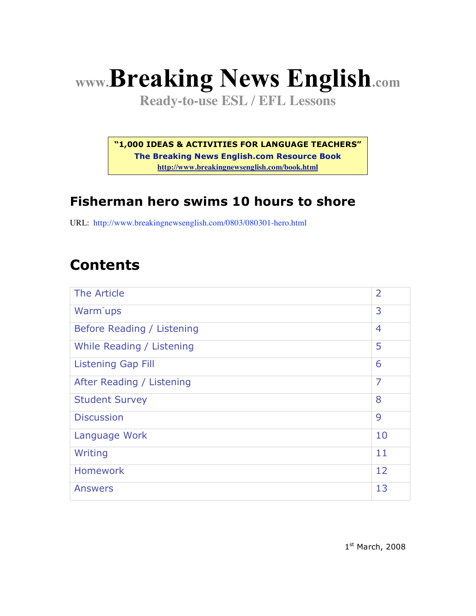# **www.Breaking News English.com**

**Ready-to-use ESL / EFL Lessons**

**"1,000 IDEAS & ACTIVITIES FOR LANGUAGE TEACHERS"**

**The Breaking News English.com Resource Book http://www.breakingnewsenglish.com/book.html**

#### **Fisherman hero swims 10 hours to shore**

URL: http://www.breakingnewsenglish.com/0803/080301-hero.html

## **Contents**

| The Article                | $\overline{2}$ |
|----------------------------|----------------|
| Warm <sup>-</sup> ups      | 3              |
| Before Reading / Listening | $\overline{4}$ |
| While Reading / Listening  | 5              |
| <b>Listening Gap Fill</b>  | 6              |
| After Reading / Listening  | $\overline{7}$ |
| <b>Student Survey</b>      | 8              |
| <b>Discussion</b>          | 9              |
| Language Work              | 10             |
| Writing                    | 11             |
| <b>Homework</b>            | 12             |
| <b>Answers</b>             | 13             |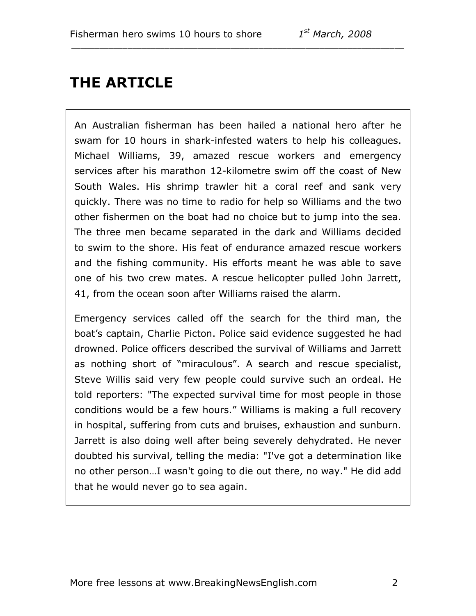## **THE ARTICLE**

An Australian fisherman has been hailed a national hero after he swam for 10 hours in shark-infested waters to help his colleagues. Michael Williams, 39, amazed rescue workers and emergency services after his marathon 12-kilometre swim off the coast of New South Wales. His shrimp trawler hit a coral reef and sank very quickly. There was no time to radio for help so Williams and the two other fishermen on the boat had no choice but to jump into the sea. The three men became separated in the dark and Williams decided to swim to the shore. His feat of endurance amazed rescue workers and the fishing community. His efforts meant he was able to save one of his two crew mates. A rescue helicopter pulled John Jarrett, 41, from the ocean soon after Williams raised the alarm.

\_\_\_\_\_\_\_\_\_\_\_\_\_\_\_\_\_\_\_\_\_\_\_\_\_\_\_\_\_\_\_\_\_\_\_\_\_\_\_\_\_\_\_\_\_\_\_\_\_\_\_\_\_\_\_\_\_\_\_\_\_\_\_\_\_\_\_\_\_\_\_

Emergency services called off the search for the third man, the boat's captain, Charlie Picton. Police said evidence suggested he had drowned. Police officers described the survival of Williams and Jarrett as nothing short of "miraculous". A search and rescue specialist, Steve Willis said very few people could survive such an ordeal. He told reporters: "The expected survival time for most people in those conditions would be a few hours." Williams is making a full recovery in hospital, suffering from cuts and bruises, exhaustion and sunburn. Jarrett is also doing well after being severely dehydrated. He never doubted his survival, telling the media: "I've got a determination like no other person…I wasn't going to die out there, no way." He did add that he would never go to sea again.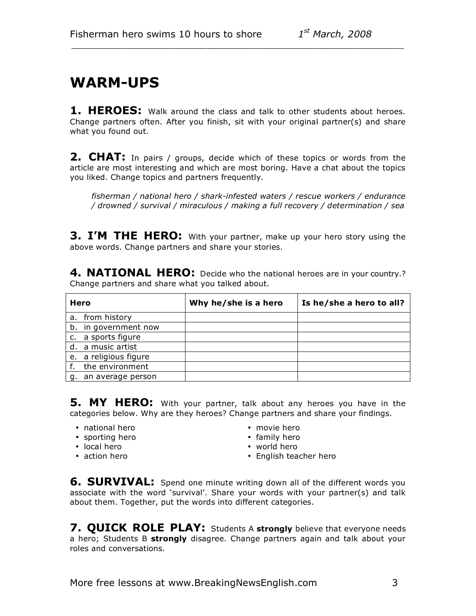#### **WARM-UPS**

**1. HEROES:** Walk around the class and talk to other students about heroes. Change partners often. After you finish, sit with your original partner(s) and share what you found out.

\_\_\_\_\_\_\_\_\_\_\_\_\_\_\_\_\_\_\_\_\_\_\_\_\_\_\_\_\_\_\_\_\_\_\_\_\_\_\_\_\_\_\_\_\_\_\_\_\_\_\_\_\_\_\_\_\_\_\_\_\_\_\_\_\_\_\_\_\_\_\_

**2. CHAT:** In pairs / groups, decide which of these topics or words from the article are most interesting and which are most boring. Have a chat about the topics you liked. Change topics and partners frequently.

*fisherman / national hero / shark-infested waters / rescue workers / endurance / drowned / survival / miraculous / making a full recovery / determination / sea*

**3. I'M THE HERO:** With your partner, make up your hero story using the above words. Change partners and share your stories.

**4. NATIONAL HERO:** Decide who the national heroes are in your country.? Change partners and share what you talked about.

|    | Hero                  | Why he/she is a hero | Is he/she a hero to all? |
|----|-----------------------|----------------------|--------------------------|
| а. | from history          |                      |                          |
|    | b. in government now  |                      |                          |
|    | c. a sports figure    |                      |                          |
|    | d. a music artist     |                      |                          |
|    | e. a religious figure |                      |                          |
|    | the environment       |                      |                          |
| g. | an average person     |                      |                          |

**5. MY HERO:** With your partner, talk about any heroes you have in the categories below. Why are they heroes? Change partners and share your findings.

- 
- national hero movie hero • sporting hero<br>• local hero
- 
- 
- 
- 
- local hero world hero
	- English teacher hero

**6. SURVIVAL:** Spend one minute writing down all of the different words you associate with the word 'survival'. Share your words with your partner(s) and talk about them. Together, put the words into different categories.

**7. QUICK ROLE PLAY:** Students A **strongly** believe that everyone needs a hero; Students B **strongly** disagree. Change partners again and talk about your roles and conversations.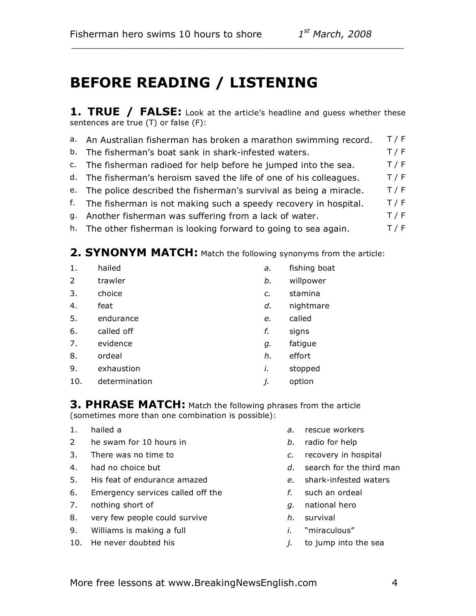## **BEFORE READING / LISTENING**

**1. TRUE / FALSE:** Look at the article's headline and guess whether these sentences are true (T) or false (F):

\_\_\_\_\_\_\_\_\_\_\_\_\_\_\_\_\_\_\_\_\_\_\_\_\_\_\_\_\_\_\_\_\_\_\_\_\_\_\_\_\_\_\_\_\_\_\_\_\_\_\_\_\_\_\_\_\_\_\_\_\_\_\_\_\_\_\_\_\_\_\_

|                                                                   | $ -$  |
|-------------------------------------------------------------------|-------|
| b. The fisherman's boat sank in shark-infested waters.            | T/F   |
| a. An Australian fisherman has broken a marathon swimming record. | T / F |

- c. The fisherman radioed for help before he jumped into the sea.  $T/F$
- d. The fisherman's heroism saved the life of one of his colleagues.  $T/F$
- e. The police described the fisherman's survival as being a miracle.  $T/F$
- f. The fisherman is not making such a speedy recovery in hospital.  $T/F$
- g. Another fisherman was suffering from a lack of water. T/F
- h. The other fisherman is looking forward to going to sea again.  $T/F$

#### **2. SYNONYM MATCH:** Match the following synonyms from the article:

1. hailed *a.* fishing boat 2 trawler *b.* willpower 3. choice *c.* stamina 4. feat *d.* nightmare 5. endurance *e.* called 6. called off *f.* signs 7. evidence *g.* fatigue 8. ordeal *h.* effort 9. exhaustion *i.* stopped 10. determination *j.* option

**3. PHRASE MATCH:** Match the following phrases from the article (sometimes more than one combination is possible):

- 
- 2 he swam for 10 hours in *b.* radio for help
- 3. There was no time to *c.* recovery in hospital
- 
- 5. His feat of endurance amazed *e.* shark-infested waters
- 6. Emergency services called off the *f.* such an ordeal
- 7. nothing short of *g.* national hero
- 8. very few people could survive *h.* survival
- 9. Williams is making a full *i.* "miraculous"
- 10. He never doubted his *j.* to jump into the sea
- 1. hailed a *a.* rescue workers
	-
	-
- 4. had no choice but *d.* search for the third man
	-
	-
	-
	-
	-
	-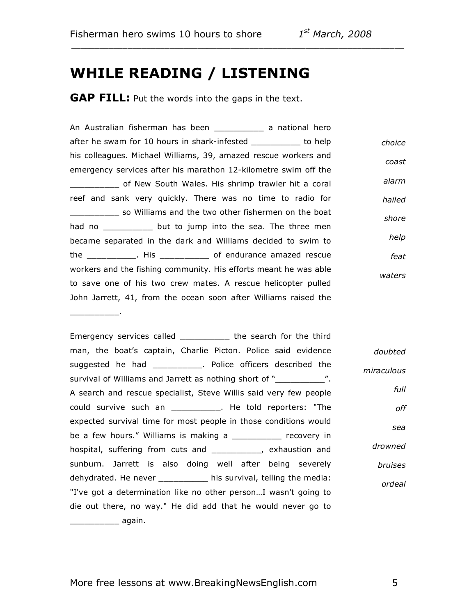$\overline{\phantom{a}}$  . The set of the set of the set of the set of the set of the set of the set of the set of the set of the set of the set of the set of the set of the set of the set of the set of the set of the set of the set o

#### **WHILE READING / LISTENING**

**GAP FILL:** Put the words into the gaps in the text.

An Australian fisherman has been \_\_\_\_\_\_\_\_\_\_ a national hero after he swam for 10 hours in shark-infested \_\_\_\_\_\_\_\_\_\_ to help his colleagues. Michael Williams, 39, amazed rescue workers and emergency services after his marathon 12-kilometre swim off the \_\_\_\_\_\_\_\_\_\_ of New South Wales. His shrimp trawler hit a coral reef and sank very quickly. There was no time to radio for **willy so Williams and the two other fishermen on the boat** had no \_\_\_\_\_\_\_\_\_\_ but to jump into the sea. The three men became separated in the dark and Williams decided to swim to the \_\_\_\_\_\_\_\_\_\_. His \_\_\_\_\_\_\_\_\_\_ of endurance amazed rescue workers and the fishing community. His efforts meant he was able to save one of his two crew mates. A rescue helicopter pulled John Jarrett, 41, from the ocean soon after Williams raised the *choice coast alarm hailed shore help feat waters*

\_\_\_\_\_\_\_\_\_\_\_\_\_\_\_\_\_\_\_\_\_\_\_\_\_\_\_\_\_\_\_\_\_\_\_\_\_\_\_\_\_\_\_\_\_\_\_\_\_\_\_\_\_\_\_\_\_\_\_\_\_\_\_\_\_\_\_\_\_\_\_

Emergency services called The search for the third man, the boat's captain, Charlie Picton. Police said evidence suggested he had **Suggested he had has a property continues** a Police officers described the survival of Williams and Jarrett as nothing short of "\_\_\_\_\_\_\_\_\_\_\_\_\_". A search and rescue specialist, Steve Willis said very few people could survive such an \_\_\_\_\_\_\_\_\_\_. He told reporters: "The expected survival time for most people in those conditions would be a few hours." Williams is making a \_\_\_\_\_\_\_\_\_ recovery in hospital, suffering from cuts and \_\_\_\_\_\_\_\_\_\_, exhaustion and sunburn. Jarrett is also doing well after being severely dehydrated. He never \_\_\_\_\_\_\_\_\_\_ his survival, telling the media: "I've got a determination like no other person…I wasn't going to die out there, no way." He did add that he would never go to \_\_\_\_\_\_\_\_\_\_ again. *doubted miraculous full off sea drowned bruises ordeal*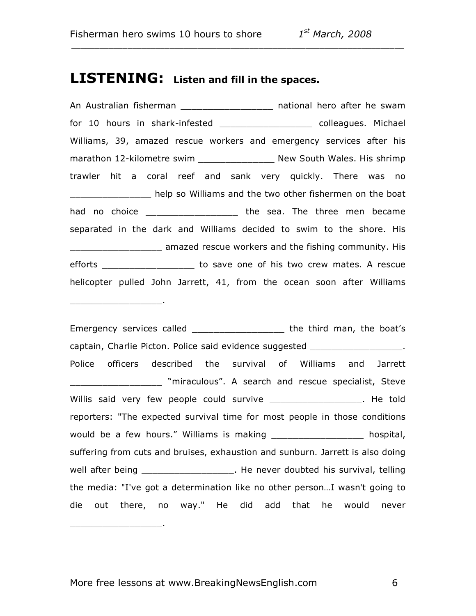\_\_\_\_\_\_\_\_\_\_\_\_\_\_\_\_\_.

\_\_\_\_\_\_\_\_\_\_\_\_\_\_\_\_\_.

#### **LISTENING: Listen and fill in the spaces.**

An Australian fisherman \_\_\_\_\_\_\_\_\_\_\_\_\_\_\_\_\_\_\_\_ national hero after he swam for 10 hours in shark-infested \_\_\_\_\_\_\_\_\_\_\_\_\_\_\_\_\_ colleagues. Michael Williams, 39, amazed rescue workers and emergency services after his marathon 12-kilometre swim \_\_\_\_\_\_\_\_\_\_\_\_\_\_\_\_\_ New South Wales. His shrimp trawler hit a coral reef and sank very quickly. There was no \_\_\_\_\_\_\_\_\_\_\_\_\_\_\_ help so Williams and the two other fishermen on the boat had no choice **the sea.** The three men became separated in the dark and Williams decided to swim to the shore. His amazed rescue workers and the fishing community. His efforts \_\_\_\_\_\_\_\_\_\_\_\_\_\_\_\_\_\_\_\_ to save one of his two crew mates. A rescue helicopter pulled John Jarrett, 41, from the ocean soon after Williams

\_\_\_\_\_\_\_\_\_\_\_\_\_\_\_\_\_\_\_\_\_\_\_\_\_\_\_\_\_\_\_\_\_\_\_\_\_\_\_\_\_\_\_\_\_\_\_\_\_\_\_\_\_\_\_\_\_\_\_\_\_\_\_\_\_\_\_\_\_\_\_

Emergency services called \_\_\_\_\_\_\_\_\_\_\_\_\_\_\_\_\_\_\_\_ the third man, the boat's captain, Charlie Picton. Police said evidence suggested \_\_\_\_\_\_\_\_\_\_\_\_\_\_\_\_\_\_. Police officers described the survival of Williams and Jarrett "miraculous". A search and rescue specialist, Steve Willis said very few people could survive \_\_\_\_\_\_\_\_\_\_\_\_\_\_\_\_\_\_\_. He told reporters: "The expected survival time for most people in those conditions would be a few hours." Williams is making the same thospital, suffering from cuts and bruises, exhaustion and sunburn. Jarrett is also doing well after being \_\_\_\_\_\_\_\_\_\_\_\_\_\_\_\_\_\_\_\_. He never doubted his survival, telling the media: "I've got a determination like no other person…I wasn't going to die out there, no way." He did add that he would never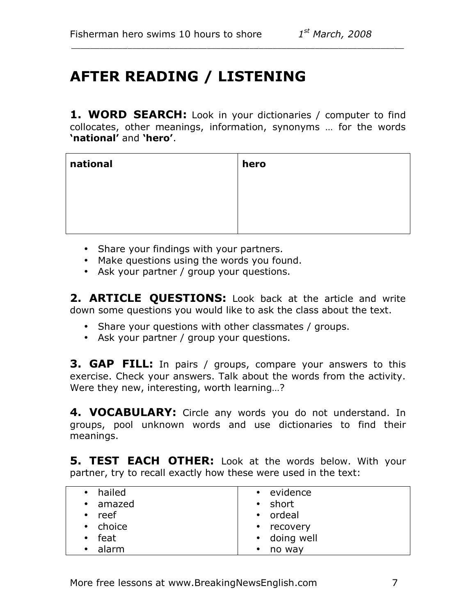# **AFTER READING / LISTENING**

**1. WORD SEARCH:** Look in your dictionaries / computer to find collocates, other meanings, information, synonyms … for the words **'national'** and **'hero'**.

\_\_\_\_\_\_\_\_\_\_\_\_\_\_\_\_\_\_\_\_\_\_\_\_\_\_\_\_\_\_\_\_\_\_\_\_\_\_\_\_\_\_\_\_\_\_\_\_\_\_\_\_\_\_\_\_\_\_\_\_\_\_\_\_\_\_\_\_\_\_\_

| national | hero |
|----------|------|
|          |      |
|          |      |
|          |      |

- Share your findings with your partners.
- Make questions using the words you found.
- Ask your partner / group your questions.

**2. ARTICLE QUESTIONS:** Look back at the article and write down some questions you would like to ask the class about the text.

- Share your questions with other classmates / groups.
- Ask your partner / group your questions.

**3. GAP FILL:** In pairs / groups, compare your answers to this exercise. Check your answers. Talk about the words from the activity. Were they new, interesting, worth learning…?

**4. VOCABULARY:** Circle any words you do not understand. In groups, pool unknown words and use dictionaries to find their meanings.

**5. TEST EACH OTHER:** Look at the words below. With your partner, try to recall exactly how these were used in the text:

| • hailed      | • evidence          |
|---------------|---------------------|
| • amazed      | • short             |
| $\cdot$ reef  | • ordeal            |
| • choice      | • recovery          |
| $\cdot$ feat  | • doing well        |
| $\cdot$ alarm | no way<br>$\bullet$ |
|               |                     |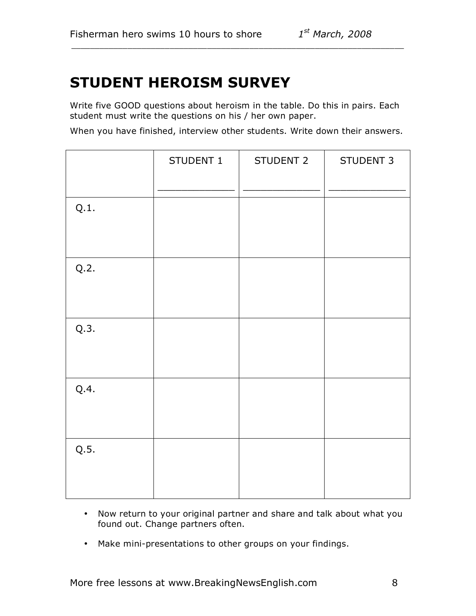#### **STUDENT HEROISM SURVEY**

Write five GOOD questions about heroism in the table. Do this in pairs. Each student must write the questions on his / her own paper.

\_\_\_\_\_\_\_\_\_\_\_\_\_\_\_\_\_\_\_\_\_\_\_\_\_\_\_\_\_\_\_\_\_\_\_\_\_\_\_\_\_\_\_\_\_\_\_\_\_\_\_\_\_\_\_\_\_\_\_\_\_\_\_\_\_\_\_\_\_\_\_

When you have finished, interview other students. Write down their answers.

| STUDENT 1 | STUDENT 2 | <b>STUDENT 3</b> |
|-----------|-----------|------------------|
|           |           |                  |
|           |           |                  |
|           |           |                  |
|           |           |                  |
|           |           |                  |
|           |           |                  |
|           |           |                  |
|           |           |                  |
|           |           |                  |
|           |           |                  |
|           |           |                  |
|           |           |                  |
|           |           |                  |
|           |           |                  |
|           |           |                  |
|           |           |                  |
|           |           |                  |

- Now return to your original partner and share and talk about what you found out. Change partners often.
- Make mini-presentations to other groups on your findings.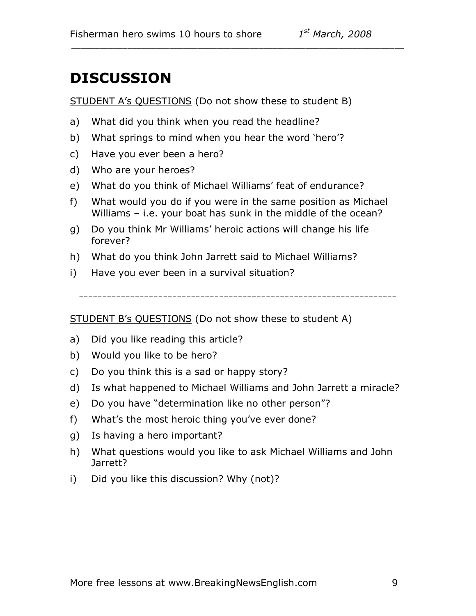#### **DISCUSSION**

STUDENT A's QUESTIONS (Do not show these to student B)

\_\_\_\_\_\_\_\_\_\_\_\_\_\_\_\_\_\_\_\_\_\_\_\_\_\_\_\_\_\_\_\_\_\_\_\_\_\_\_\_\_\_\_\_\_\_\_\_\_\_\_\_\_\_\_\_\_\_\_\_\_\_\_\_\_\_\_\_\_\_\_

- a) What did you think when you read the headline?
- b) What springs to mind when you hear the word 'hero'?
- c) Have you ever been a hero?
- d) Who are your heroes?
- e) What do you think of Michael Williams' feat of endurance?
- f) What would you do if you were in the same position as Michael Williams – i.e. your boat has sunk in the middle of the ocean?
- g) Do you think Mr Williams' heroic actions will change his life forever?
- h) What do you think John Jarrett said to Michael Williams?
- i) Have you ever been in a survival situation?

--------------------------------------------------------------------

STUDENT B's QUESTIONS (Do not show these to student A)

- a) Did you like reading this article?
- b) Would you like to be hero?
- c) Do you think this is a sad or happy story?
- d) Is what happened to Michael Williams and John Jarrett a miracle?
- e) Do you have "determination like no other person"?
- f) What's the most heroic thing you've ever done?
- g) Is having a hero important?
- h) What questions would you like to ask Michael Williams and John Jarrett?
- i) Did you like this discussion? Why (not)?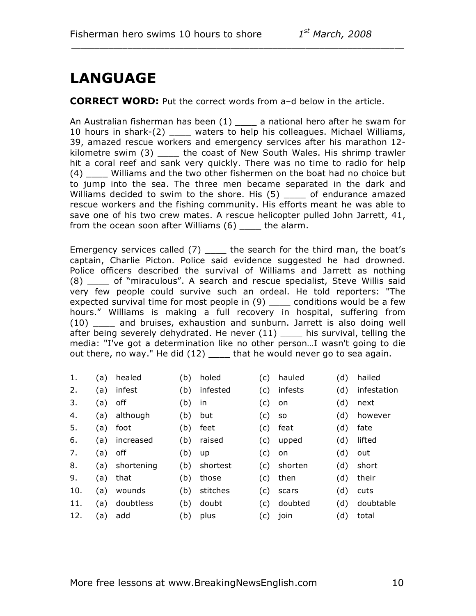## **LANGUAGE**

**CORRECT WORD:** Put the correct words from a–d below in the article.

\_\_\_\_\_\_\_\_\_\_\_\_\_\_\_\_\_\_\_\_\_\_\_\_\_\_\_\_\_\_\_\_\_\_\_\_\_\_\_\_\_\_\_\_\_\_\_\_\_\_\_\_\_\_\_\_\_\_\_\_\_\_\_\_\_\_\_\_\_\_\_

An Australian fisherman has been  $(1)$  \_\_\_\_ a national hero after he swam for 10 hours in shark-(2) \_\_\_\_ waters to help his colleagues. Michael Williams, 39, amazed rescue workers and emergency services after his marathon 12 kilometre swim (3) \_\_\_\_ the coast of New South Wales. His shrimp trawler hit a coral reef and sank very quickly. There was no time to radio for help (4) \_\_\_\_ Williams and the two other fishermen on the boat had no choice but to jump into the sea. The three men became separated in the dark and Williams decided to swim to the shore. His (5) \_\_\_\_ of endurance amazed rescue workers and the fishing community. His efforts meant he was able to save one of his two crew mates. A rescue helicopter pulled John Jarrett, 41, from the ocean soon after Williams  $(6)$  \_\_\_\_ the alarm.

Emergency services called  $(7)$  \_\_\_\_ the search for the third man, the boat's captain, Charlie Picton. Police said evidence suggested he had drowned. Police officers described the survival of Williams and Jarrett as nothing (8) \_\_\_\_ of "miraculous". A search and rescue specialist, Steve Willis said very few people could survive such an ordeal. He told reporters: "The expected survival time for most people in (9) \_\_\_\_ conditions would be a few hours." Williams is making a full recovery in hospital, suffering from (10) \_\_\_\_ and bruises, exhaustion and sunburn. Jarrett is also doing well after being severely dehydrated. He never (11) \_\_\_\_ his survival, telling the media: "I've got a determination like no other person…I wasn't going to die out there, no way." He did (12) \_\_\_\_ that he would never go to sea again.

| 1.  | (a) | healed     | (b) | holed    | (C) | hauled    | (d) | hailed      |
|-----|-----|------------|-----|----------|-----|-----------|-----|-------------|
| 2.  | (a) | infest     | (b) | infested | (c) | infests   | (d) | infestation |
| 3.  | (a) | off        | (b) | in       | (c) | on        | (d) | next        |
| 4.  | (a) | although   | (b) | but      | (c) | <b>SO</b> | (d) | however     |
| 5.  | (a) | foot       | (b) | feet     | (c) | feat      | (d) | fate        |
| 6.  | (a) | increased  | (b) | raised   | (c) | upped     | (d) | lifted      |
| 7.  | (a) | off        | (b) | up       | (c) | on        | (d) | out         |
| 8.  | (a) | shortening | (b) | shortest | (C) | shorten   | (d) | short       |
| 9.  | (a) | that       | (b) | those    | (C) | then      | (d) | their       |
| 10. | (a) | wounds     | (b) | stitches | (C) | scars     | (d) | cuts        |
| 11. | (a) | doubtless  | (b) | doubt    | (c) | doubted   | (d) | doubtable   |

12. (a) add (b) plus (c) join (d) total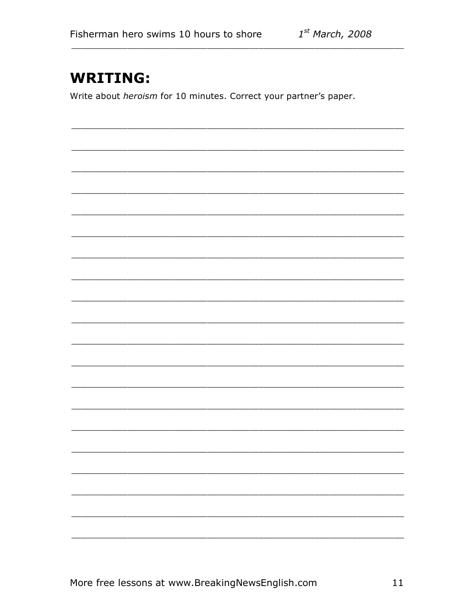#### **WRITING:**

Write about heroism for 10 minutes. Correct your partner's paper.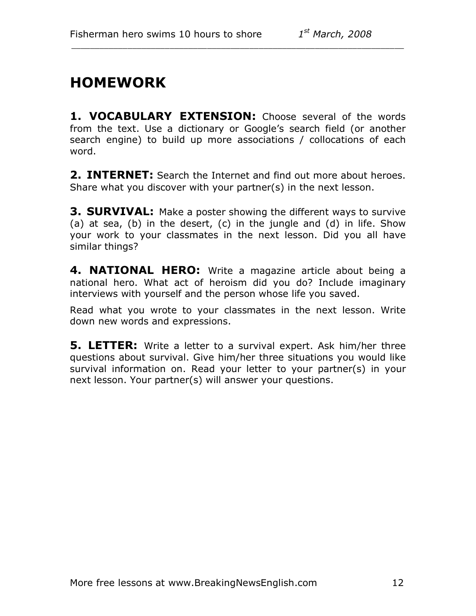## **HOMEWORK**

**1. VOCABULARY EXTENSION:** Choose several of the words from the text. Use a dictionary or Google's search field (or another search engine) to build up more associations / collocations of each word.

\_\_\_\_\_\_\_\_\_\_\_\_\_\_\_\_\_\_\_\_\_\_\_\_\_\_\_\_\_\_\_\_\_\_\_\_\_\_\_\_\_\_\_\_\_\_\_\_\_\_\_\_\_\_\_\_\_\_\_\_\_\_\_\_\_\_\_\_\_\_\_

**2. INTERNET:** Search the Internet and find out more about heroes. Share what you discover with your partner(s) in the next lesson.

**3. SURVIVAL:** Make a poster showing the different ways to survive (a) at sea, (b) in the desert, (c) in the jungle and (d) in life. Show your work to your classmates in the next lesson. Did you all have similar things?

**4. NATIONAL HERO:** Write a magazine article about being a national hero. What act of heroism did you do? Include imaginary interviews with yourself and the person whose life you saved.

Read what you wrote to your classmates in the next lesson. Write down new words and expressions.

**5. LETTER:** Write a letter to a survival expert. Ask him/her three questions about survival. Give him/her three situations you would like survival information on. Read your letter to your partner(s) in your next lesson. Your partner(s) will answer your questions.